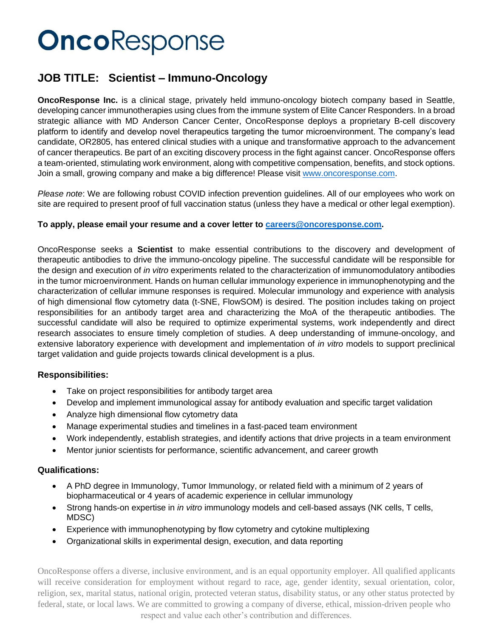# OncoResponse

### **JOB TITLE: Scientist – Immuno-Oncology**

**OncoResponse Inc.** is a clinical stage, privately held immuno-oncology biotech company based in Seattle, developing cancer immunotherapies using clues from the immune system of Elite Cancer Responders. In a broad strategic alliance with MD Anderson Cancer Center, OncoResponse deploys a proprietary B-cell discovery platform to identify and develop novel therapeutics targeting the tumor microenvironment. The company's lead candidate, OR2805, has entered clinical studies with a unique and transformative approach to the advancement of cancer therapeutics. Be part of an exciting discovery process in the fight against cancer. OncoResponse offers a team-oriented, stimulating work environment, along with competitive compensation, benefits, and stock options. Join a small, growing company and make a big difference! Please visit [www.oncoresponse.com.](http://www.oncoresponse.com/)

*Please note*: We are following robust COVID infection prevention guidelines. All of our employees who work on site are required to present proof of full vaccination status (unless they have a medical or other legal exemption).

#### **To apply, please email your resume and a cover letter to [careers@oncoresponse.com.](mailto:careers@oncoresponse.com)**

OncoResponse seeks a **Scientist** to make essential contributions to the discovery and development of therapeutic antibodies to drive the immuno-oncology pipeline. The successful candidate will be responsible for the design and execution of *in vitro* experiments related to the characterization of immunomodulatory antibodies in the tumor microenvironment. Hands on human cellular immunology experience in immunophenotyping and the characterization of cellular immune responses is required. Molecular immunology and experience with analysis of high dimensional flow cytometry data (t-SNE, FlowSOM) is desired. The position includes taking on project responsibilities for an antibody target area and characterizing the MoA of the therapeutic antibodies. The successful candidate will also be required to optimize experimental systems, work independently and direct research associates to ensure timely completion of studies. A deep understanding of immune-oncology, and extensive laboratory experience with development and implementation of *in vitro* models to support preclinical target validation and guide projects towards clinical development is a plus.

#### **Responsibilities:**

- Take on project responsibilities for antibody target area
- Develop and implement immunological assay for antibody evaluation and specific target validation
- Analyze high dimensional flow cytometry data
- Manage experimental studies and timelines in a fast-paced team environment
- Work independently, establish strategies, and identify actions that drive projects in a team environment
- Mentor junior scientists for performance, scientific advancement, and career growth

#### **Qualifications:**

- A PhD degree in Immunology, Tumor Immunology, or related field with a minimum of 2 years of biopharmaceutical or 4 years of academic experience in cellular immunology
- Strong hands-on expertise in *in vitro* immunology models and cell-based assays (NK cells, T cells, MDSC)
- Experience with immunophenotyping by flow cytometry and cytokine multiplexing
- Organizational skills in experimental design, execution, and data reporting

OncoResponse offers a diverse, inclusive environment, and is an equal opportunity employer. All qualified applicants will receive consideration for employment without regard to race, age, gender identity, sexual orientation, color, religion, sex, marital status, national origin, protected veteran status, disability status, or any other status protected by federal, state, or local laws. We are committed to growing a company of diverse, ethical, mission-driven people who respect and value each other's contribution and differences.